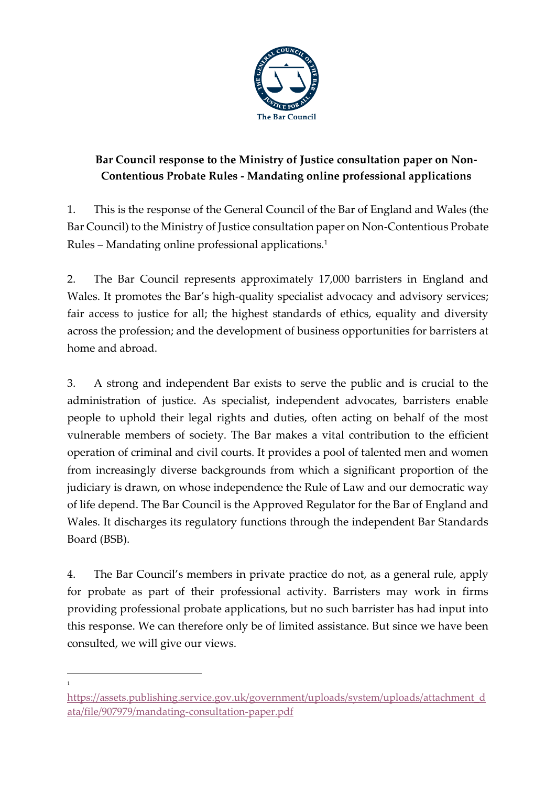

# **Bar Council response to the Ministry of Justice consultation paper on Non-Contentious Probate Rules - Mandating online professional applications**

1. This is the response of the General Council of the Bar of England and Wales (the Bar Council) to the Ministry of Justice consultation paper on Non-Contentious Probate Rules – Mandating online professional applications.<sup>1</sup>

2. The Bar Council represents approximately 17,000 barristers in England and Wales. It promotes the Bar's high-quality specialist advocacy and advisory services; fair access to justice for all; the highest standards of ethics, equality and diversity across the profession; and the development of business opportunities for barristers at home and abroad.

3. A strong and independent Bar exists to serve the public and is crucial to the administration of justice. As specialist, independent advocates, barristers enable people to uphold their legal rights and duties, often acting on behalf of the most vulnerable members of society. The Bar makes a vital contribution to the efficient operation of criminal and civil courts. It provides a pool of talented men and women from increasingly diverse backgrounds from which a significant proportion of the judiciary is drawn, on whose independence the Rule of Law and our democratic way of life depend. The Bar Council is the Approved Regulator for the Bar of England and Wales. It discharges its regulatory functions through the independent Bar Standards Board (BSB).

4. The Bar Council's members in private practice do not, as a general rule, apply for probate as part of their professional activity. Barristers may work in firms providing professional probate applications, but no such barrister has had input into this response. We can therefore only be of limited assistance. But since we have been consulted, we will give our views.

1

[https://assets.publishing.service.gov.uk/government/uploads/system/uploads/attachment\\_d](https://assets.publishing.service.gov.uk/government/uploads/system/uploads/attachment_data/file/907979/mandating-consultation-paper.pdf) [ata/file/907979/mandating-consultation-paper.pdf](https://assets.publishing.service.gov.uk/government/uploads/system/uploads/attachment_data/file/907979/mandating-consultation-paper.pdf)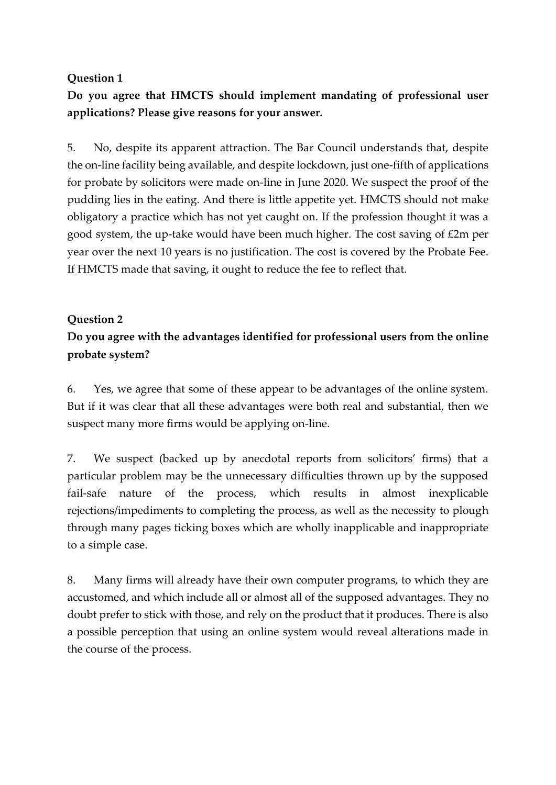#### **Question 1**

**Do you agree that HMCTS should implement mandating of professional user applications? Please give reasons for your answer.**

5. No, despite its apparent attraction. The Bar Council understands that, despite the on-line facility being available, and despite lockdown, just one-fifth of applications for probate by solicitors were made on-line in June 2020. We suspect the proof of the pudding lies in the eating. And there is little appetite yet. HMCTS should not make obligatory a practice which has not yet caught on. If the profession thought it was a good system, the up-take would have been much higher. The cost saving of £2m per year over the next 10 years is no justification. The cost is covered by the Probate Fee. If HMCTS made that saving, it ought to reduce the fee to reflect that.

#### **Question 2**

## **Do you agree with the advantages identified for professional users from the online probate system?**

6. Yes, we agree that some of these appear to be advantages of the online system. But if it was clear that all these advantages were both real and substantial, then we suspect many more firms would be applying on-line.

7. We suspect (backed up by anecdotal reports from solicitors' firms) that a particular problem may be the unnecessary difficulties thrown up by the supposed fail-safe nature of the process, which results in almost inexplicable rejections/impediments to completing the process, as well as the necessity to plough through many pages ticking boxes which are wholly inapplicable and inappropriate to a simple case.

8. Many firms will already have their own computer programs, to which they are accustomed, and which include all or almost all of the supposed advantages. They no doubt prefer to stick with those, and rely on the product that it produces. There is also a possible perception that using an online system would reveal alterations made in the course of the process.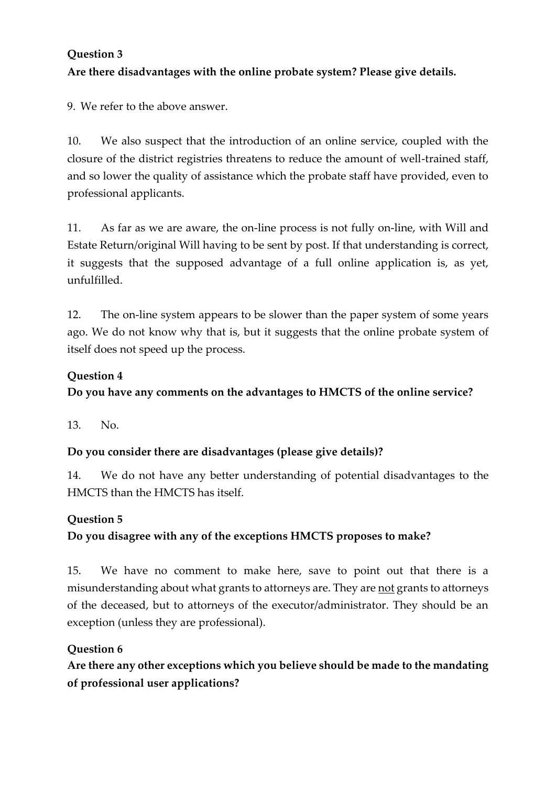# **Question 3 Are there disadvantages with the online probate system? Please give details.**

9. We refer to the above answer.

10. We also suspect that the introduction of an online service, coupled with the closure of the district registries threatens to reduce the amount of well-trained staff, and so lower the quality of assistance which the probate staff have provided, even to professional applicants.

11. As far as we are aware, the on-line process is not fully on-line, with Will and Estate Return/original Will having to be sent by post. If that understanding is correct, it suggests that the supposed advantage of a full online application is, as yet, unfulfilled.

12. The on-line system appears to be slower than the paper system of some years ago. We do not know why that is, but it suggests that the online probate system of itself does not speed up the process.

#### **Question 4**

**Do you have any comments on the advantages to HMCTS of the online service?** 

13. No.

### **Do you consider there are disadvantages (please give details)?**

14. We do not have any better understanding of potential disadvantages to the HMCTS than the HMCTS has itself.

### **Question 5**

### **Do you disagree with any of the exceptions HMCTS proposes to make?**

15. We have no comment to make here, save to point out that there is a misunderstanding about what grants to attorneys are. They are not grants to attorneys of the deceased, but to attorneys of the executor/administrator. They should be an exception (unless they are professional).

### **Question 6**

**Are there any other exceptions which you believe should be made to the mandating of professional user applications?**